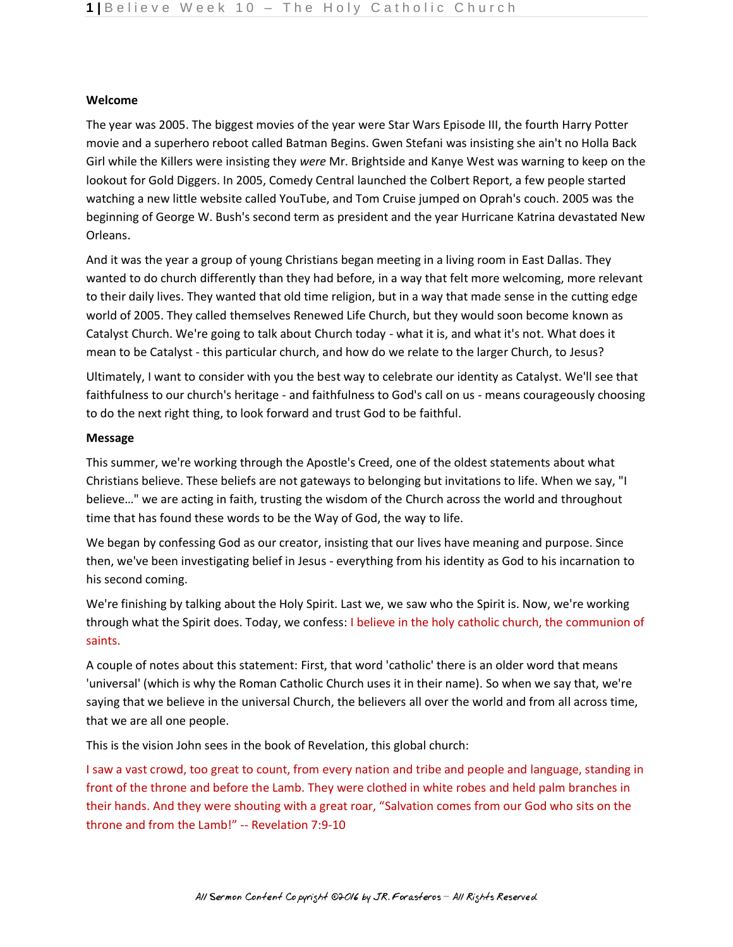## **Welcome**

The year was 2005. The biggest movies of the year were Star Wars Episode III, the fourth Harry Potter movie and a superhero reboot called Batman Begins. Gwen Stefani was insisting she ain't no Holla Back Girl while the Killers were insisting they *were* Mr. Brightside and Kanye West was warning to keep on the lookout for Gold Diggers. In 2005, Comedy Central launched the Colbert Report, a few people started watching a new little website called YouTube, and Tom Cruise jumped on Oprah's couch. 2005 was the beginning of George W. Bush's second term as president and the year Hurricane Katrina devastated New Orleans.

And it was the year a group of young Christians began meeting in a living room in East Dallas. They wanted to do church differently than they had before, in a way that felt more welcoming, more relevant to their daily lives. They wanted that old time religion, but in a way that made sense in the cutting edge world of 2005. They called themselves Renewed Life Church, but they would soon become known as Catalyst Church. We're going to talk about Church today - what it is, and what it's not. What does it mean to be Catalyst - this particular church, and how do we relate to the larger Church, to Jesus?

Ultimately, I want to consider with you the best way to celebrate our identity as Catalyst. We'll see that faithfulness to our church's heritage - and faithfulness to God's call on us - means courageously choosing to do the next right thing, to look forward and trust God to be faithful.

## **Message**

This summer, we're working through the Apostle's Creed, one of the oldest statements about what Christians believe. These beliefs are not gateways to belonging but invitations to life. When we say, "I believe…" we are acting in faith, trusting the wisdom of the Church across the world and throughout time that has found these words to be the Way of God, the way to life.

We began by confessing God as our creator, insisting that our lives have meaning and purpose. Since then, we've been investigating belief in Jesus - everything from his identity as God to his incarnation to his second coming.

We're finishing by talking about the Holy Spirit. Last we, we saw who the Spirit is. Now, we're working through what the Spirit does. Today, we confess: I believe in the holy catholic church, the communion of saints.

A couple of notes about this statement: First, that word 'catholic' there is an older word that means 'universal' (which is why the Roman Catholic Church uses it in their name). So when we say that, we're saying that we believe in the universal Church, the believers all over the world and from all across time, that we are all one people.

This is the vision John sees in the book of Revelation, this global church:

I saw a vast crowd, too great to count, from every nation and tribe and people and language, standing in front of the throne and before the Lamb. They were clothed in white robes and held palm branches in their hands. And they were shouting with a great roar, "Salvation comes from our God who sits on the throne and from the Lamb!" -- Revelation 7:9-10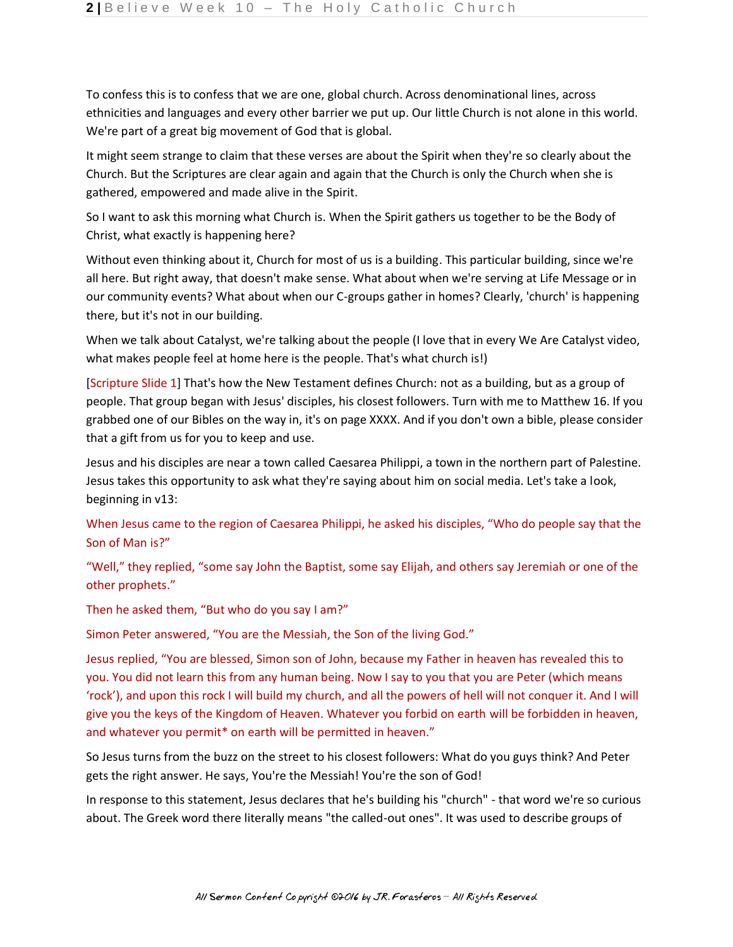To confess this is to confess that we are one, global church. Across denominational lines, across ethnicities and languages and every other barrier we put up. Our little Church is not alone in this world. We're part of a great big movement of God that is global.

It might seem strange to claim that these verses are about the Spirit when they're so clearly about the Church. But the Scriptures are clear again and again that the Church is only the Church when she is gathered, empowered and made alive in the Spirit.

So I want to ask this morning what Church is. When the Spirit gathers us together to be the Body of Christ, what exactly is happening here?

Without even thinking about it, Church for most of us is a building. This particular building, since we're all here. But right away, that doesn't make sense. What about when we're serving at Life Message or in our community events? What about when our C-groups gather in homes? Clearly, 'church' is happening there, but it's not in our building.

When we talk about Catalyst, we're talking about the people (I love that in every We Are Catalyst video, what makes people feel at home here is the people. That's what church is!)

[Scripture Slide 1] That's how the New Testament defines Church: not as a building, but as a group of people. That group began with Jesus' disciples, his closest followers. Turn with me to Matthew 16. If you grabbed one of our Bibles on the way in, it's on page XXXX. And if you don't own a bible, please consider that a gift from us for you to keep and use.

Jesus and his disciples are near a town called Caesarea Philippi, a town in the northern part of Palestine. Jesus takes this opportunity to ask what they're saying about him on social media. Let's take a look, beginning in v13:

When Jesus came to the region of Caesarea Philippi, he asked his disciples, "Who do people say that the Son of Man is?"

"Well," they replied, "some say John the Baptist, some say Elijah, and others say Jeremiah or one of the other prophets."

Then he asked them, "But who do you say I am?"

Simon Peter answered, "You are the Messiah, the Son of the living God."

Jesus replied, "You are blessed, Simon son of John, because my Father in heaven has revealed this to you. You did not learn this from any human being. Now I say to you that you are Peter (which means 'rock'), and upon this rock I will build my church, and all the powers of hell will not conquer it. And I will give you the keys of the Kingdom of Heaven. Whatever you forbid on earth will be forbidden in heaven, and whatever you permit\* on earth will be permitted in heaven."

So Jesus turns from the buzz on the street to his closest followers: What do you guys think? And Peter gets the right answer. He says, You're the Messiah! You're the son of God!

In response to this statement, Jesus declares that he's building his "church" - that word we're so curious about. The Greek word there literally means "the called-out ones". It was used to describe groups of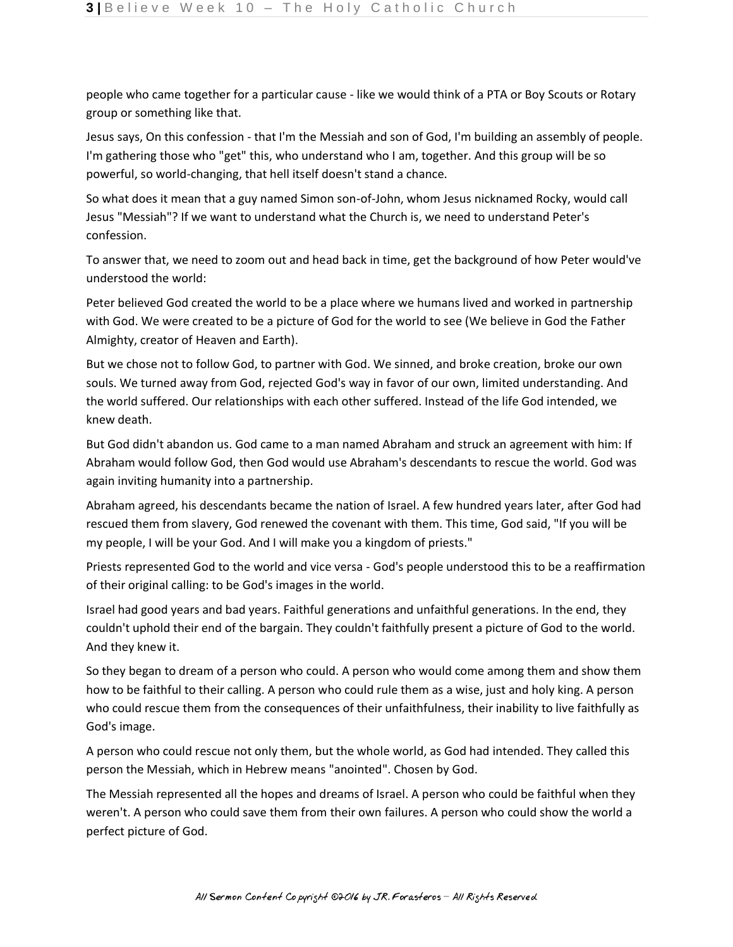people who came together for a particular cause - like we would think of a PTA or Boy Scouts or Rotary group or something like that.

Jesus says, On this confession - that I'm the Messiah and son of God, I'm building an assembly of people. I'm gathering those who "get" this, who understand who I am, together. And this group will be so powerful, so world-changing, that hell itself doesn't stand a chance.

So what does it mean that a guy named Simon son-of-John, whom Jesus nicknamed Rocky, would call Jesus "Messiah"? If we want to understand what the Church is, we need to understand Peter's confession.

To answer that, we need to zoom out and head back in time, get the background of how Peter would've understood the world:

Peter believed God created the world to be a place where we humans lived and worked in partnership with God. We were created to be a picture of God for the world to see (We believe in God the Father Almighty, creator of Heaven and Earth).

But we chose not to follow God, to partner with God. We sinned, and broke creation, broke our own souls. We turned away from God, rejected God's way in favor of our own, limited understanding. And the world suffered. Our relationships with each other suffered. Instead of the life God intended, we knew death.

But God didn't abandon us. God came to a man named Abraham and struck an agreement with him: If Abraham would follow God, then God would use Abraham's descendants to rescue the world. God was again inviting humanity into a partnership.

Abraham agreed, his descendants became the nation of Israel. A few hundred years later, after God had rescued them from slavery, God renewed the covenant with them. This time, God said, "If you will be my people, I will be your God. And I will make you a kingdom of priests."

Priests represented God to the world and vice versa - God's people understood this to be a reaffirmation of their original calling: to be God's images in the world.

Israel had good years and bad years. Faithful generations and unfaithful generations. In the end, they couldn't uphold their end of the bargain. They couldn't faithfully present a picture of God to the world. And they knew it.

So they began to dream of a person who could. A person who would come among them and show them how to be faithful to their calling. A person who could rule them as a wise, just and holy king. A person who could rescue them from the consequences of their unfaithfulness, their inability to live faithfully as God's image.

A person who could rescue not only them, but the whole world, as God had intended. They called this person the Messiah, which in Hebrew means "anointed". Chosen by God.

The Messiah represented all the hopes and dreams of Israel. A person who could be faithful when they weren't. A person who could save them from their own failures. A person who could show the world a perfect picture of God.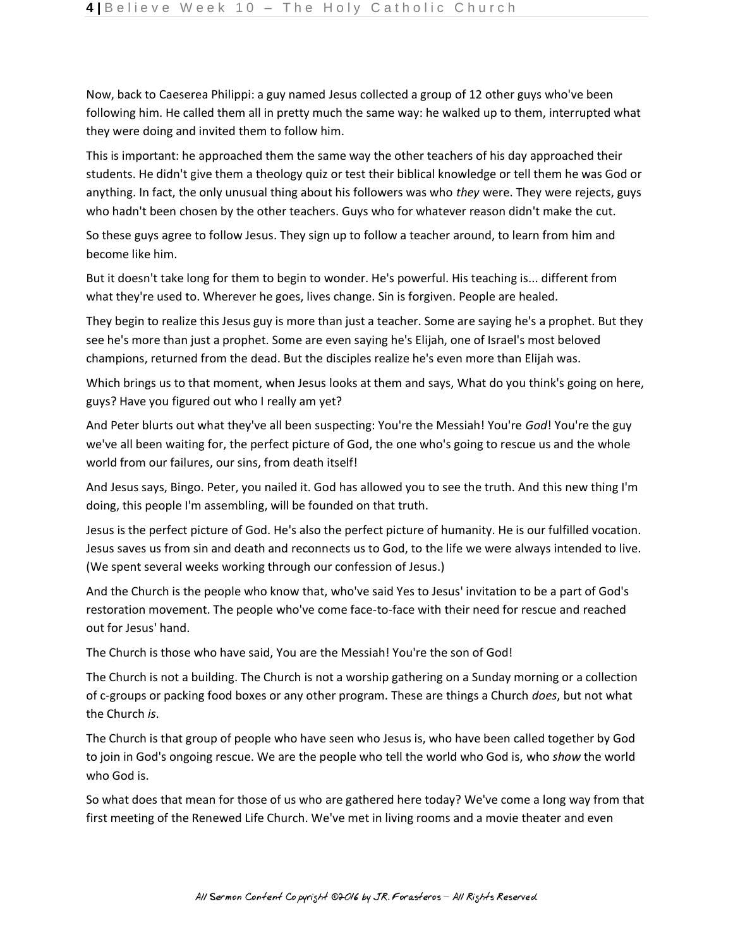Now, back to Caeserea Philippi: a guy named Jesus collected a group of 12 other guys who've been following him. He called them all in pretty much the same way: he walked up to them, interrupted what they were doing and invited them to follow him.

This is important: he approached them the same way the other teachers of his day approached their students. He didn't give them a theology quiz or test their biblical knowledge or tell them he was God or anything. In fact, the only unusual thing about his followers was who *they* were. They were rejects, guys who hadn't been chosen by the other teachers. Guys who for whatever reason didn't make the cut.

So these guys agree to follow Jesus. They sign up to follow a teacher around, to learn from him and become like him.

But it doesn't take long for them to begin to wonder. He's powerful. His teaching is... different from what they're used to. Wherever he goes, lives change. Sin is forgiven. People are healed.

They begin to realize this Jesus guy is more than just a teacher. Some are saying he's a prophet. But they see he's more than just a prophet. Some are even saying he's Elijah, one of Israel's most beloved champions, returned from the dead. But the disciples realize he's even more than Elijah was.

Which brings us to that moment, when Jesus looks at them and says, What do you think's going on here, guys? Have you figured out who I really am yet?

And Peter blurts out what they've all been suspecting: You're the Messiah! You're *God*! You're the guy we've all been waiting for, the perfect picture of God, the one who's going to rescue us and the whole world from our failures, our sins, from death itself!

And Jesus says, Bingo. Peter, you nailed it. God has allowed you to see the truth. And this new thing I'm doing, this people I'm assembling, will be founded on that truth.

Jesus is the perfect picture of God. He's also the perfect picture of humanity. He is our fulfilled vocation. Jesus saves us from sin and death and reconnects us to God, to the life we were always intended to live. (We spent several weeks working through our confession of Jesus.)

And the Church is the people who know that, who've said Yes to Jesus' invitation to be a part of God's restoration movement. The people who've come face-to-face with their need for rescue and reached out for Jesus' hand.

The Church is those who have said, You are the Messiah! You're the son of God!

The Church is not a building. The Church is not a worship gathering on a Sunday morning or a collection of c-groups or packing food boxes or any other program. These are things a Church *does*, but not what the Church *is*.

The Church is that group of people who have seen who Jesus is, who have been called together by God to join in God's ongoing rescue. We are the people who tell the world who God is, who *show* the world who God is.

So what does that mean for those of us who are gathered here today? We've come a long way from that first meeting of the Renewed Life Church. We've met in living rooms and a movie theater and even